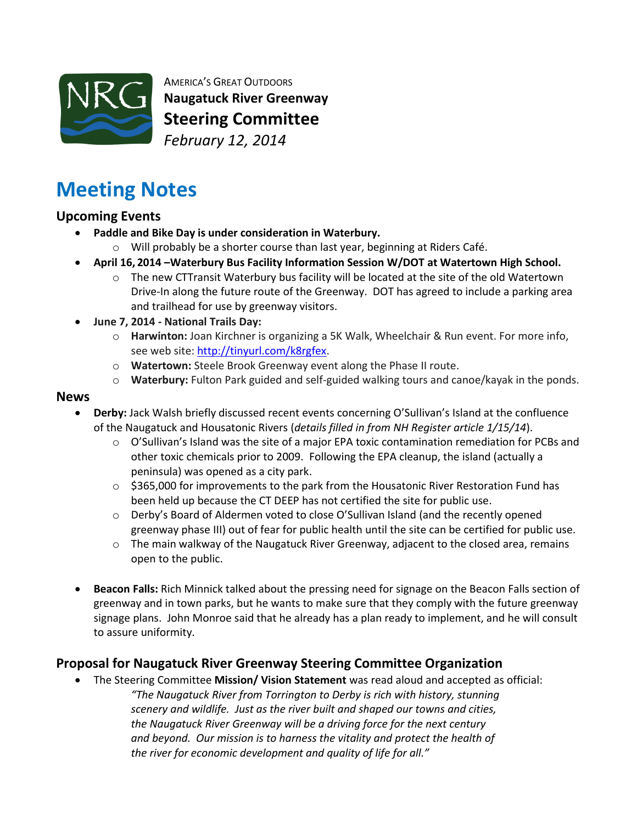

AMERICA'S GREAT OUTDOORS **Naugatuck River Greenway Steering Committee** *February 12, 2014*

# **Meeting Notes**

### **Upcoming Events**

- **Paddle and Bike Day is under consideration in Waterbury.**
	- o Will probably be a shorter course than last year, beginning at Riders Café.
- **April 16, 2014 –Waterbury Bus Facility Information Session W/DOT at Watertown High School.**
	- $\circ$  The new CTTransit Waterbury bus facility will be located at the site of the old Watertown Drive-In along the future route of the Greenway. DOT has agreed to include a parking area and trailhead for use by greenway visitors.
- **June 7, 2014 - National Trails Day:** 
	- o **Harwinton:** Joan Kirchner is organizing a 5K Walk, Wheelchair & Run event. For more info, see web site[: http://tinyurl.com/k8rgfex.](http://tinyurl.com/k8rgfex)
	- o **Watertown:** Steele Brook Greenway event along the Phase II route.
	- o **Waterbury:** Fulton Park guided and self-guided walking tours and canoe/kayak in the ponds.

#### **News**

- **Derby:** Jack Walsh briefly discussed recent events concerning O'Sullivan's Island at the confluence of the Naugatuck and Housatonic Rivers (*details filled in from NH Register article 1/15/14*).
	- $\circ$  O'Sullivan's Island was the site of a major EPA toxic contamination remediation for PCBs and other toxic chemicals prior to 2009. Following the EPA cleanup, the island (actually a peninsula) was opened as a city park.
	- $\circ$  \$365,000 for improvements to the park from the Housatonic River Restoration Fund has been held up because the CT DEEP has not certified the site for public use.
	- $\circ$  Derby's Board of Aldermen voted to close O'Sullivan Island (and the recently opened greenway phase III) out of fear for public health until the site can be certified for public use.
	- $\circ$  The main walkway of the Naugatuck River Greenway, adjacent to the closed area, remains open to the public.
- **Beacon Falls:** Rich Minnick talked about the pressing need for signage on the Beacon Falls section of greenway and in town parks, but he wants to make sure that they comply with the future greenway signage plans. John Monroe said that he already has a plan ready to implement, and he will consult to assure uniformity.

# **Proposal for Naugatuck River Greenway Steering Committee Organization**

 The Steering Committee **Mission/ Vision Statement** was read aloud and accepted as official: *"The Naugatuck River from Torrington to Derby is rich with history, stunning scenery and wildlife. Just as the river built and shaped our towns and cities, the Naugatuck River Greenway will be a driving force for the next century and beyond. Our mission is to harness the vitality and protect the health of the river for economic development and quality of life for all."*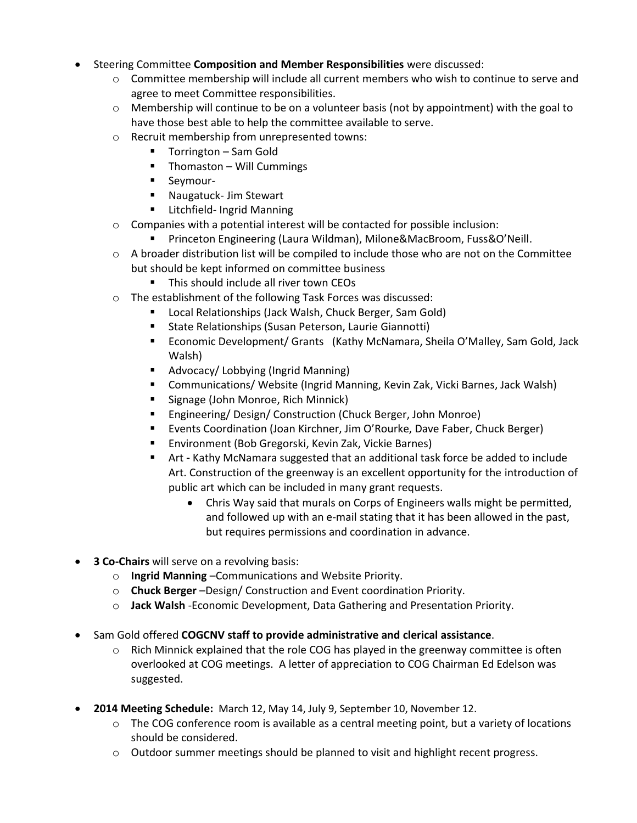- Steering Committee **Composition and Member Responsibilities** were discussed:
	- $\circ$  Committee membership will include all current members who wish to continue to serve and agree to meet Committee responsibilities.
	- $\circ$  Membership will continue to be on a volunteer basis (not by appointment) with the goal to have those best able to help the committee available to serve.
	- o Recruit membership from unrepresented towns:
		- Torrington Sam Gold
		- $\blacksquare$  Thomaston Will Cummings
		- **Seymour-**
		- **Naugatuck- Jim Stewart**
		- **E** Litchfield- Ingrid Manning
	- $\circ$  Companies with a potential interest will be contacted for possible inclusion:
		- Princeton Engineering (Laura Wildman), Milone&MacBroom, Fuss&O'Neill.
	- $\circ$  A broader distribution list will be compiled to include those who are not on the Committee but should be kept informed on committee business
		- **This should include all river town CEOs**
	- o The establishment of the following Task Forces was discussed:
		- Local Relationships (Jack Walsh, Chuck Berger, Sam Gold)
		- **State Relationships (Susan Peterson, Laurie Giannotti)**
		- Economic Development/ Grants (Kathy McNamara, Sheila O'Malley, Sam Gold, Jack Walsh)
		- **Advocacy/ Lobbying (Ingrid Manning)**
		- Communications/ Website (Ingrid Manning, Kevin Zak, Vicki Barnes, Jack Walsh)
		- **Signage (John Monroe, Rich Minnick)**
		- Engineering/ Design/ Construction (Chuck Berger, John Monroe)
		- Events Coordination (Joan Kirchner, Jim O'Rourke, Dave Faber, Chuck Berger)
		- Environment (Bob Gregorski, Kevin Zak, Vickie Barnes)
		- Art **-** Kathy McNamara suggested that an additional task force be added to include Art. Construction of the greenway is an excellent opportunity for the introduction of public art which can be included in many grant requests.
			- Chris Way said that murals on Corps of Engineers walls might be permitted, and followed up with an e-mail stating that it has been allowed in the past, but requires permissions and coordination in advance.
- **3 Co-Chairs** will serve on a revolving basis:
	- o **Ingrid Manning** –Communications and Website Priority.
	- o **Chuck Berger** –Design/ Construction and Event coordination Priority.
	- o **Jack Walsh** -Economic Development, Data Gathering and Presentation Priority.
- Sam Gold offered **COGCNV staff to provide administrative and clerical assistance**.
	- $\circ$  Rich Minnick explained that the role COG has played in the greenway committee is often overlooked at COG meetings. A letter of appreciation to COG Chairman Ed Edelson was suggested.
- **2014 Meeting Schedule:** March 12, May 14, July 9, September 10, November 12.
	- $\circ$  The COG conference room is available as a central meeting point, but a variety of locations should be considered.
	- $\circ$  Outdoor summer meetings should be planned to visit and highlight recent progress.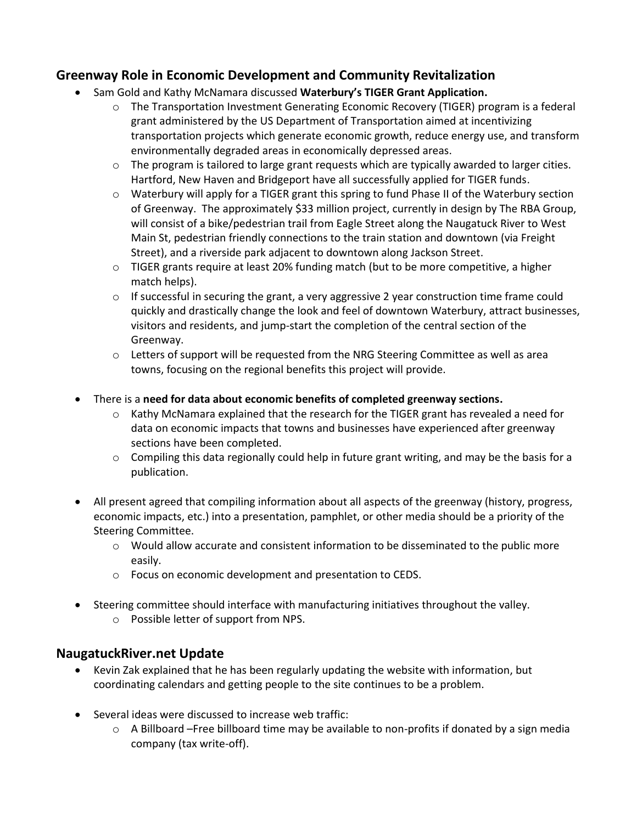# **Greenway Role in Economic Development and Community Revitalization**

- Sam Gold and Kathy McNamara discussed **Waterbury's TIGER Grant Application.** 
	- o The Transportation Investment Generating Economic Recovery (TIGER) program is a federal grant administered by the US Department of Transportation aimed at incentivizing transportation projects which generate economic growth, reduce energy use, and transform environmentally degraded areas in economically depressed areas.
	- o The program is tailored to large grant requests which are typically awarded to larger cities. Hartford, New Haven and Bridgeport have all successfully applied for TIGER funds.
	- $\circ$  Waterbury will apply for a TIGER grant this spring to fund Phase II of the Waterbury section of Greenway. The approximately \$33 million project, currently in design by The RBA Group, will consist of a bike/pedestrian trail from Eagle Street along the Naugatuck River to West Main St, pedestrian friendly connections to the train station and downtown (via Freight Street), and a riverside park adjacent to downtown along Jackson Street.
	- o TIGER grants require at least 20% funding match (but to be more competitive, a higher match helps).
	- $\circ$  If successful in securing the grant, a very aggressive 2 year construction time frame could quickly and drastically change the look and feel of downtown Waterbury, attract businesses, visitors and residents, and jump-start the completion of the central section of the Greenway.
	- o Letters of support will be requested from the NRG Steering Committee as well as area towns, focusing on the regional benefits this project will provide.
- There is a **need for data about economic benefits of completed greenway sections.**
	- $\circ$  Kathy McNamara explained that the research for the TIGER grant has revealed a need for data on economic impacts that towns and businesses have experienced after greenway sections have been completed.
	- $\circ$  Compiling this data regionally could help in future grant writing, and may be the basis for a publication.
- All present agreed that compiling information about all aspects of the greenway (history, progress, economic impacts, etc.) into a presentation, pamphlet, or other media should be a priority of the Steering Committee.
	- $\circ$  Would allow accurate and consistent information to be disseminated to the public more easily.
	- o Focus on economic development and presentation to CEDS.
- Steering committee should interface with manufacturing initiatives throughout the valley.
	- o Possible letter of support from NPS.

# **NaugatuckRiver.net Update**

- Kevin Zak explained that he has been regularly updating the website with information, but coordinating calendars and getting people to the site continues to be a problem.
- Several ideas were discussed to increase web traffic:
	- $\circ$  A Billboard –Free billboard time may be available to non-profits if donated by a sign media company (tax write-off).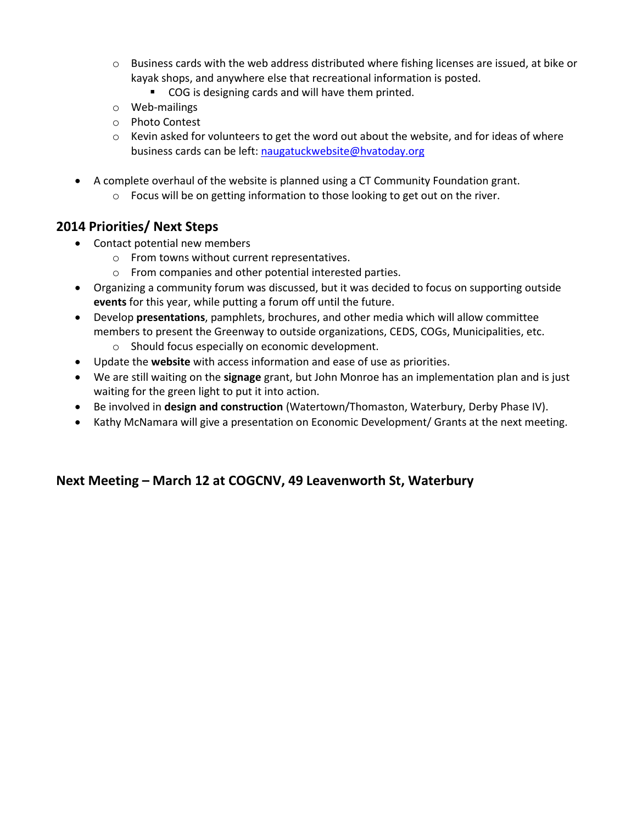- $\circ$  Business cards with the web address distributed where fishing licenses are issued, at bike or kayak shops, and anywhere else that recreational information is posted.
	- **COG** is designing cards and will have them printed.
- o Web-mailings
- o Photo Contest
- $\circ$  Kevin asked for volunteers to get the word out about the website, and for ideas of where business cards can be left: [naugatuckwebsite@hvatoday.org](mailto:naugatuckwebsite@hvatoday.org)
- A complete overhaul of the website is planned using a CT Community Foundation grant.
	- o Focus will be on getting information to those looking to get out on the river.

### **2014 Priorities/ Next Steps**

- Contact potential new members
	- o From towns without current representatives.
	- o From companies and other potential interested parties.
- Organizing a community forum was discussed, but it was decided to focus on supporting outside **events** for this year, while putting a forum off until the future.
- Develop **presentations**, pamphlets, brochures, and other media which will allow committee members to present the Greenway to outside organizations, CEDS, COGs, Municipalities, etc.
	- o Should focus especially on economic development.
- Update the **website** with access information and ease of use as priorities.
- We are still waiting on the **signage** grant, but John Monroe has an implementation plan and is just waiting for the green light to put it into action.
- Be involved in **design and construction** (Watertown/Thomaston, Waterbury, Derby Phase IV).
- Kathy McNamara will give a presentation on Economic Development/ Grants at the next meeting.

### **Next Meeting – March 12 at COGCNV, 49 Leavenworth St, Waterbury**